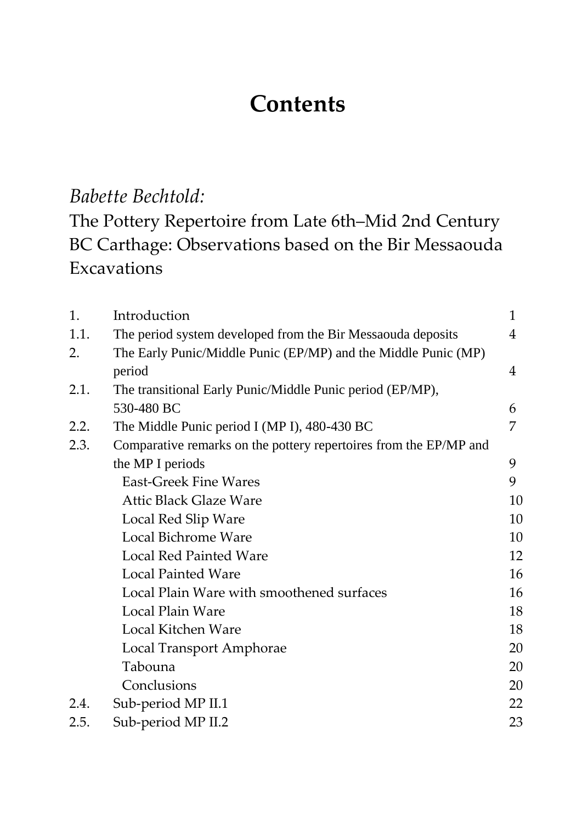## **Contents**

## *Babette Bechtold:*

The Pottery Repertoire from Late 6th–Mid 2nd Century BC Carthage: Observations based on the Bir Messaouda Excavations

| 1.   | Introduction                                                      | $\mathbf{1}$   |
|------|-------------------------------------------------------------------|----------------|
| 1.1. | The period system developed from the Bir Messaouda deposits       | $\overline{4}$ |
| 2.   | The Early Punic/Middle Punic (EP/MP) and the Middle Punic (MP)    |                |
|      | period                                                            | 4              |
| 2.1. | The transitional Early Punic/Middle Punic period (EP/MP),         |                |
|      | 530-480 BC                                                        | 6              |
| 2.2. | The Middle Punic period I (MP I), 480-430 BC                      | 7              |
| 2.3. | Comparative remarks on the pottery repertoires from the EP/MP and |                |
|      | the MP I periods                                                  | 9              |
|      | <b>East-Greek Fine Wares</b>                                      | 9              |
|      | <b>Attic Black Glaze Ware</b>                                     | 10             |
|      | Local Red Slip Ware                                               | 10             |
|      | <b>Local Bichrome Ware</b>                                        | 10             |
|      | <b>Local Red Painted Ware</b>                                     | 12             |
|      | <b>Local Painted Ware</b>                                         | 16             |
|      | Local Plain Ware with smoothened surfaces                         | 16             |
|      | <b>Local Plain Ware</b>                                           | 18             |
|      | Local Kitchen Ware                                                | 18             |
|      | Local Transport Amphorae                                          | 20             |
|      | Tabouna                                                           | 20             |
|      | Conclusions                                                       | 20             |
| 2.4. | Sub-period MP II.1                                                | 22             |
| 2.5. | Sub-period MP II.2                                                | 23             |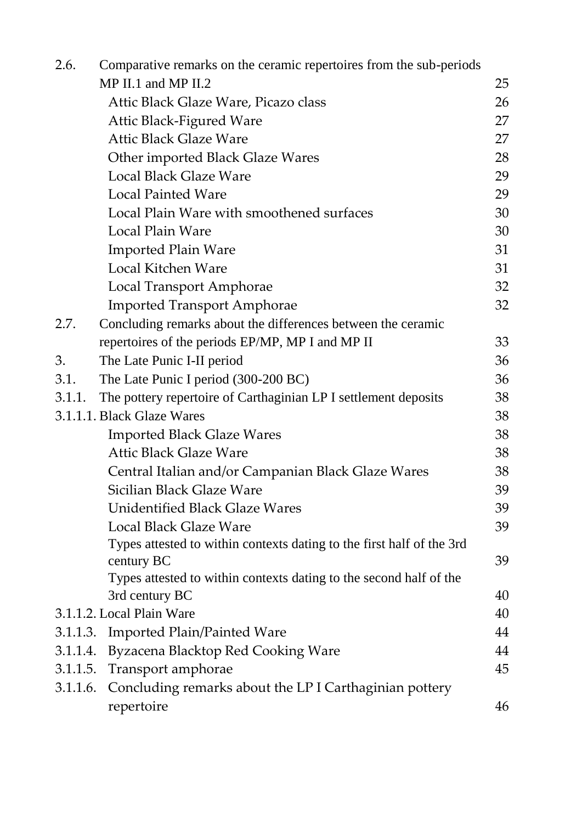| 2.6.                       | Comparative remarks on the ceramic repertoires from the sub-periods   |    |
|----------------------------|-----------------------------------------------------------------------|----|
|                            | $MP$ II.1 and MP II.2                                                 | 25 |
|                            | Attic Black Glaze Ware, Picazo class                                  | 26 |
|                            | <b>Attic Black-Figured Ware</b>                                       | 27 |
|                            | <b>Attic Black Glaze Ware</b>                                         | 27 |
|                            | Other imported Black Glaze Wares                                      | 28 |
|                            | <b>Local Black Glaze Ware</b>                                         | 29 |
|                            | <b>Local Painted Ware</b>                                             | 29 |
|                            | Local Plain Ware with smoothened surfaces                             | 30 |
|                            | Local Plain Ware                                                      | 30 |
|                            | <b>Imported Plain Ware</b>                                            | 31 |
|                            | Local Kitchen Ware                                                    | 31 |
|                            | <b>Local Transport Amphorae</b>                                       | 32 |
|                            | <b>Imported Transport Amphorae</b>                                    | 32 |
| 2.7.                       | Concluding remarks about the differences between the ceramic          |    |
|                            | repertoires of the periods EP/MP, MP I and MP II                      | 33 |
| 3.                         | The Late Punic I-II period                                            | 36 |
| 3.1.                       | The Late Punic I period (300-200 BC)                                  | 36 |
| 3.1.1.                     | The pottery repertoire of Carthaginian LP I settlement deposits       | 38 |
| 3.1.1.1. Black Glaze Wares |                                                                       | 38 |
|                            | <b>Imported Black Glaze Wares</b>                                     | 38 |
|                            | <b>Attic Black Glaze Ware</b>                                         | 38 |
|                            | Central Italian and/or Campanian Black Glaze Wares                    | 38 |
|                            | Sicilian Black Glaze Ware                                             | 39 |
|                            | <b>Unidentified Black Glaze Wares</b>                                 | 39 |
|                            | Local Black Glaze Ware                                                | 39 |
|                            | Types attested to within contexts dating to the first half of the 3rd |    |
|                            | century BC                                                            | 39 |
|                            | Types attested to within contexts dating to the second half of the    |    |
|                            | 3rd century BC                                                        | 40 |
|                            | 3.1.1.2. Local Plain Ware                                             | 40 |
| 3.1.1.3.                   | <b>Imported Plain/Painted Ware</b>                                    | 44 |
| 3.1.1.4.                   | Byzacena Blacktop Red Cooking Ware                                    | 44 |
| 3.1.1.5.                   | Transport amphorae                                                    | 45 |
| 3.1.1.6.                   | Concluding remarks about the LP I Carthaginian pottery                |    |
|                            | repertoire                                                            | 46 |